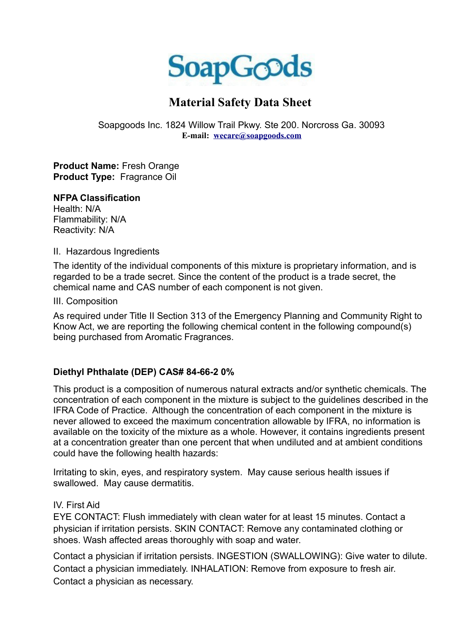

# **Material Safety Data Sheet**

Soapgoods Inc. 1824 Willow Trail Pkwy. Ste 200. Norcross Ga. 30093 **E-mail: [wecare@soapgoods.com](mailto:wecare@soapgoods.com)**

**Product Name:** Fresh Orange **Product Type:** Fragrance Oil

#### **NFPA Classification**

Health: N/A Flammability: N/A Reactivity: N/A

II. Hazardous Ingredients

The identity of the individual components of this mixture is proprietary information, and is regarded to be a trade secret. Since the content of the product is a trade secret, the chemical name and CAS number of each component is not given.

III. Composition

As required under Title II Section 313 of the Emergency Planning and Community Right to Know Act, we are reporting the following chemical content in the following compound(s) being purchased from Aromatic Fragrances.

## **Diethyl Phthalate (DEP) CAS# 84-66-2 0%**

This product is a composition of numerous natural extracts and/or synthetic chemicals. The concentration of each component in the mixture is subject to the guidelines described in the IFRA Code of Practice. Although the concentration of each component in the mixture is never allowed to exceed the maximum concentration allowable by IFRA, no information is available on the toxicity of the mixture as a whole. However, it contains ingredients present at a concentration greater than one percent that when undiluted and at ambient conditions could have the following health hazards:

Irritating to skin, eyes, and respiratory system. May cause serious health issues if swallowed. May cause dermatitis.

### IV. First Aid

EYE CONTACT: Flush immediately with clean water for at least 15 minutes. Contact a physician if irritation persists. SKIN CONTACT: Remove any contaminated clothing or shoes. Wash affected areas thoroughly with soap and water.

Contact a physician if irritation persists. INGESTION (SWALLOWING): Give water to dilute. Contact a physician immediately. INHALATION: Remove from exposure to fresh air. Contact a physician as necessary.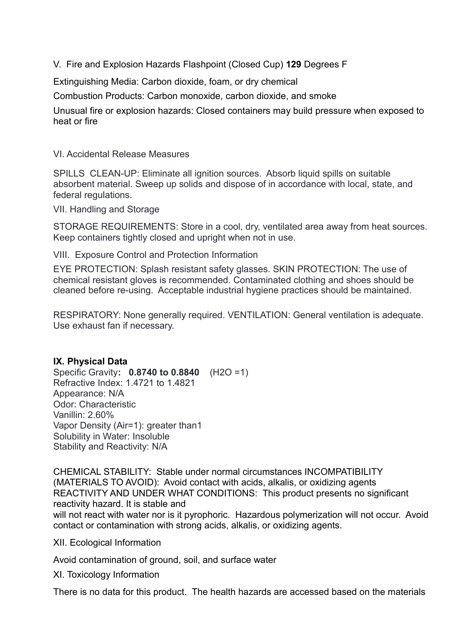V. Fire and Explosion Hazards Flashpoint (Closed Cup) **129** Degrees F

Extinguishing Media: Carbon dioxide, foam, or dry chemical

Combustion Products: Carbon monoxide, carbon dioxide, and smoke

Unusual fire or explosion hazards: Closed containers may build pressure when exposed to heat or fire

VI. Accidental Release Measures

SPILLS CLEAN-UP: Eliminate all ignition sources. Absorb liquid spills on suitable absorbent material. Sweep up solids and dispose of in accordance with local, state, and federal regulations.

VII. Handling and Storage

STORAGE REQUIREMENTS: Store in a cool, dry, ventilated area away from heat sources. Keep containers tightly closed and upright when not in use.

VIII. Exposure Control and Protection Information

EYE PROTECTION: Splash resistant safety glasses. SKIN PROTECTION: The use of chemical resistant gloves is recommended. Contaminated clothing and shoes should be cleaned before re-using. Acceptable industrial hygiene practices should be maintained.

RESPIRATORY: None generally required. VENTILATION: General ventilation is adequate. Use exhaust fan if necessary.

### **IX. Physical Data**

Specific Gravity**: 0.8740 to 0.8840** (H2O =1) Refractive Index: 1.4721 to 1.4821 Appearance: N/A Odor: Characteristic Vanillin: 2.60% Vapor Density (Air=1): greater than1 Solubility in Water: Insoluble Stability and Reactivity: N/A

CHEMICAL STABILITY: Stable under normal circumstances INCOMPATIBILITY (MATERIALS TO AVOID): Avoid contact with acids, alkalis, or oxidizing agents REACTIVITY AND UNDER WHAT CONDITIONS: This product presents no significant reactivity hazard. It is stable and will not react with water nor is it pyrophoric. Hazardous polymerization will not occur. Avoid contact or contamination with strong acids, alkalis, or oxidizing agents.

XII. Ecological Information

Avoid contamination of ground, soil, and surface water

XI. Toxicology Information

There is no data for this product. The health hazards are accessed based on the materials